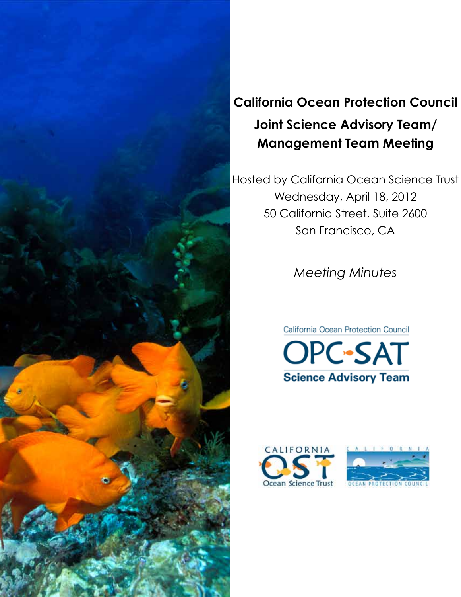# **California Ocean Protection Council**

**Joint Science Advisory Team/ Management Team Meeting**

Hosted by California Ocean Science Trust Wednesday, April 18, 2012 50 California Street, Suite 2600 San Francisco, CA

*Meeting Minutes*

California Ocean Protection Council **OPC-SAT Science Advisory Team** 



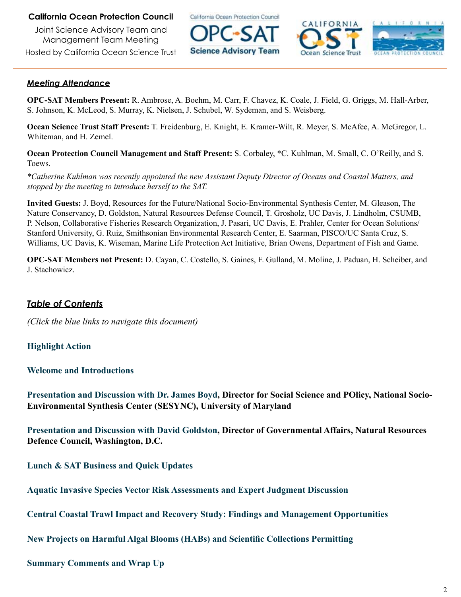#### **California Ocean Protection Council**

Joint Science Advisory Team and Management Team Meeting Hosted by California Ocean Science Trust California Ocean Protection Council





#### *Meeting Attendance*

**OPC-SAT Members Present:** R. Ambrose, A. Boehm, M. Carr, F. Chavez, K. Coale, J. Field, G. Griggs, M. Hall-Arber, S. Johnson, K. McLeod, S. Murray, K. Nielsen, J. Schubel, W. Sydeman, and S. Weisberg.

**Ocean Science Trust Staff Present:** T. Freidenburg, E. Knight, E. Kramer-Wilt, R. Meyer, S. McAfee, A. McGregor, L. Whiteman, and H. Zemel.

**Ocean Protection Council Management and Staff Present:** S. Corbaley, \*C. Kuhlman, M. Small, C. O'Reilly, and S. Toews.

*\*Catherine Kuhlman was recently appointed the new Assistant Deputy Director of Oceans and Coastal Matters, and stopped by the meeting to introduce herself to the SAT.* 

**Invited Guests:** J. Boyd, Resources for the Future/National Socio-Environmental Synthesis Center, M. Gleason, The Nature Conservancy, D. Goldston, Natural Resources Defense Council, T. Grosholz, UC Davis, J. Lindholm, CSUMB, P. Nelson, Collaborative Fisheries Research Organization, J. Pasari, UC Davis, E. Prahler, Center for Ocean Solutions/ Stanford University, G. Ruiz, Smithsonian Environmental Research Center, E. Saarman, PISCO/UC Santa Cruz, S. Williams, UC Davis, K. Wiseman, Marine Life Protection Act Initiative, Brian Owens, Department of Fish and Game.

**OPC-SAT Members not Present:** D. Cayan, C. Costello, S. Gaines, F. Gulland, M. Moline, J. Paduan, H. Scheiber, and J. Stachowicz.

# *Table of Contents*

*(Click the blue links to navigate this document)*

## **[Highlight Action](#page-2-0)**

**[Welcome and Introductions](#page-3-0)**

**[Presentation and Discussion with Dr. James Boyd,](#page-3-0) Director for Social Science and POlicy, National Socio-Environmental Synthesis Center (SESYNC), University of Maryland**

**[Presentation and Discussion with David Goldston,](#page-5-0) Director of Governmental Affairs, Natural Resources Defence Council, Washington, D.C.**

**[Lunch & SAT Business and Quick Updates](#page-6-0)**

**[Aquatic Invasive Species Vector Risk Assessments and Expert Judgment Discussion](#page-7-0)**

**[Central Coastal Trawl Impact and Recovery Study: Findings and Management Opportunities](#page-9-0)**

**[New Projects on Harmful Algal Blooms \(HABs\) and Scientific Collections Permitting](#page-11-0)**

**[Summary Comments and Wrap Up](#page-11-0)**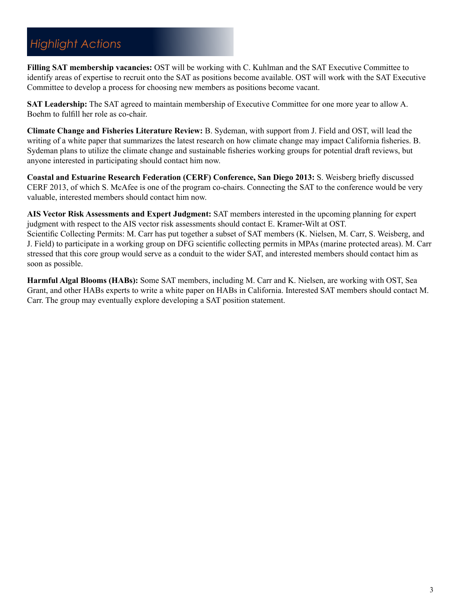# <span id="page-2-0"></span>*Highlight Actions*

**Filling SAT membership vacancies:** OST will be working with C. Kuhlman and the SAT Executive Committee to identify areas of expertise to recruit onto the SAT as positions become available. OST will work with the SAT Executive Committee to develop a process for choosing new members as positions become vacant.

**SAT Leadership:** The SAT agreed to maintain membership of Executive Committee for one more year to allow A. Boehm to fulfill her role as co-chair.

**Climate Change and Fisheries Literature Review:** B. Sydeman, with support from J. Field and OST, will lead the writing of a white paper that summarizes the latest research on how climate change may impact California fisheries. B. Sydeman plans to utilize the climate change and sustainable fisheries working groups for potential draft reviews, but anyone interested in participating should contact him now.

**Coastal and Estuarine Research Federation (CERF) Conference, San Diego 2013:** S. Weisberg briefly discussed CERF 2013, of which S. McAfee is one of the program co-chairs. Connecting the SAT to the conference would be very valuable, interested members should contact him now.

**AIS Vector Risk Assessments and Expert Judgment:** SAT members interested in the upcoming planning for expert judgment with respect to the AIS vector risk assessments should contact E. Kramer-Wilt at OST. Scientific Collecting Permits: M. Carr has put together a subset of SAT members (K. Nielsen, M. Carr, S. Weisberg, and J. Field) to participate in a working group on DFG scientific collecting permits in MPAs (marine protected areas). M. Carr stressed that this core group would serve as a conduit to the wider SAT, and interested members should contact him as soon as possible.

**Harmful Algal Blooms (HABs):** Some SAT members, including M. Carr and K. Nielsen, are working with OST, Sea Grant, and other HABs experts to write a white paper on HABs in California. Interested SAT members should contact M. Carr. The group may eventually explore developing a SAT position statement.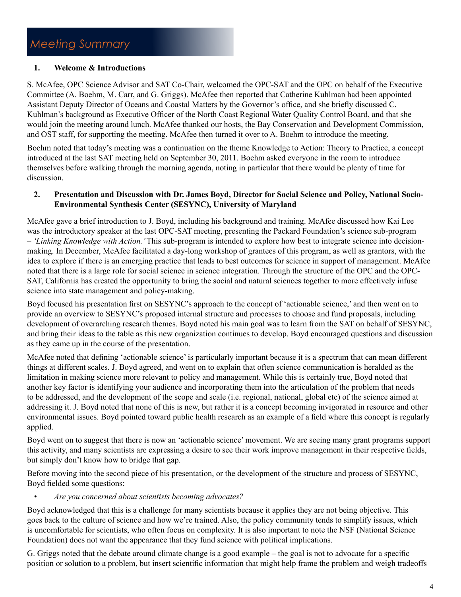#### <span id="page-3-0"></span>**1. Welcome & Introductions**

S. McAfee, OPC Science Advisor and SAT Co-Chair, welcomed the OPC-SAT and the OPC on behalf of the Executive Committee (A. Boehm, M. Carr, and G. Griggs). McAfee then reported that Catherine Kuhlman had been appointed Assistant Deputy Director of Oceans and Coastal Matters by the Governor's office, and she briefly discussed C. Kuhlman's background as Executive Officer of the North Coast Regional Water Quality Control Board, and that she would join the meeting around lunch. McAfee thanked our hosts, the Bay Conservation and Development Commission, and OST staff, for supporting the meeting. McAfee then turned it over to A. Boehm to introduce the meeting.

Boehm noted that today's meeting was a continuation on the theme Knowledge to Action: Theory to Practice, a concept introduced at the last SAT meeting held on September 30, 2011. Boehm asked everyone in the room to introduce themselves before walking through the morning agenda, noting in particular that there would be plenty of time for discussion.

#### **2. Presentation and Discussion with Dr. James Boyd, Director for Social Science and Policy, National Socio-Environmental Synthesis Center (SESYNC), University of Maryland**

McAfee gave a brief introduction to J. Boyd, including his background and training. McAfee discussed how Kai Lee was the introductory speaker at the last OPC-SAT meeting, presenting the Packard Foundation's science sub-program – *'Linking Knowledge with Action.'* This sub-program is intended to explore how best to integrate science into decisionmaking. In December, McAfee facilitated a day-long workshop of grantees of this program, as well as grantors, with the idea to explore if there is an emerging practice that leads to best outcomes for science in support of management. McAfee noted that there is a large role for social science in science integration. Through the structure of the OPC and the OPC-SAT, California has created the opportunity to bring the social and natural sciences together to more effectively infuse science into state management and policy-making.

Boyd focused his presentation first on SESYNC's approach to the concept of 'actionable science,' and then went on to provide an overview to SESYNC's proposed internal structure and processes to choose and fund proposals, including development of overarching research themes. Boyd noted his main goal was to learn from the SAT on behalf of SESYNC, and bring their ideas to the table as this new organization continues to develop. Boyd encouraged questions and discussion as they came up in the course of the presentation.

McAfee noted that defining 'actionable science' is particularly important because it is a spectrum that can mean different things at different scales. J. Boyd agreed, and went on to explain that often science communication is heralded as the limitation in making science more relevant to policy and management. While this is certainly true, Boyd noted that another key factor is identifying your audience and incorporating them into the articulation of the problem that needs to be addressed, and the development of the scope and scale (i.e. regional, national, global etc) of the science aimed at addressing it. J. Boyd noted that none of this is new, but rather it is a concept becoming invigorated in resource and other environmental issues. Boyd pointed toward public health research as an example of a field where this concept is regularly applied.

Boyd went on to suggest that there is now an 'actionable science' movement. We are seeing many grant programs support this activity, and many scientists are expressing a desire to see their work improve management in their respective fields, but simply don't know how to bridge that gap.

Before moving into the second piece of his presentation, or the development of the structure and process of SESYNC, Boyd fielded some questions:

*• Are you concerned about scientists becoming advocates?* 

Boyd acknowledged that this is a challenge for many scientists because it applies they are not being objective. This goes back to the culture of science and how we're trained. Also, the policy community tends to simplify issues, which is uncomfortable for scientists, who often focus on complexity. It is also important to note the NSF (National Science Foundation) does not want the appearance that they fund science with political implications.

G. Griggs noted that the debate around climate change is a good example – the goal is not to advocate for a specific position or solution to a problem, but insert scientific information that might help frame the problem and weigh tradeoffs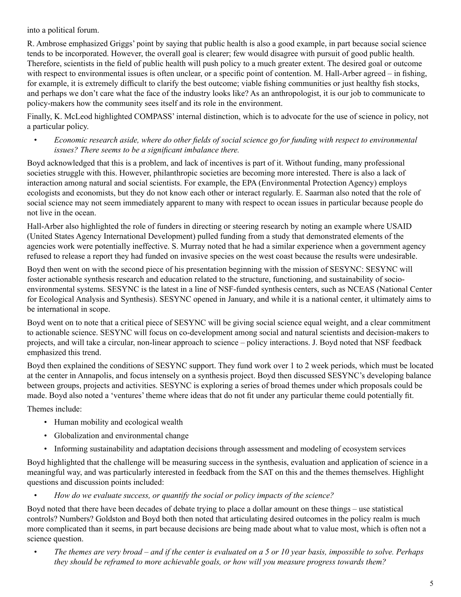into a political forum.

R. Ambrose emphasized Griggs' point by saying that public health is also a good example, in part because social science tends to be incorporated. However, the overall goal is clearer; few would disagree with pursuit of good public health. Therefore, scientists in the field of public health will push policy to a much greater extent. The desired goal or outcome with respect to environmental issues is often unclear, or a specific point of contention. M. Hall-Arber agreed – in fishing, for example, it is extremely difficult to clarify the best outcome; viable fishing communities or just healthy fish stocks, and perhaps we don't care what the face of the industry looks like? As an anthropologist, it is our job to communicate to policy-makers how the community sees itself and its role in the environment.

Finally, K. McLeod highlighted COMPASS' internal distinction, which is to advocate for the use of science in policy, not a particular policy.

• Economic research aside, where do other fields of social science go for funding with respect to environmental  *issues? There seems to be a significant imbalance there.* 

Boyd acknowledged that this is a problem, and lack of incentives is part of it. Without funding, many professional societies struggle with this. However, philanthropic societies are becoming more interested. There is also a lack of interaction among natural and social scientists. For example, the EPA (Environmental Protection Agency) employs ecologists and economists, but they do not know each other or interact regularly. E. Saarman also noted that the role of social science may not seem immediately apparent to many with respect to ocean issues in particular because people do not live in the ocean.

Hall-Arber also highlighted the role of funders in directing or steering research by noting an example where USAID (United States Agency International Development) pulled funding from a study that demonstrated elements of the agencies work were potentially ineffective. S. Murray noted that he had a similar experience when a government agency refused to release a report they had funded on invasive species on the west coast because the results were undesirable.

Boyd then went on with the second piece of his presentation beginning with the mission of SESYNC: SESYNC will foster actionable synthesis research and education related to the structure, functioning, and sustainability of socioenvironmental systems. SESYNC is the latest in a line of NSF-funded synthesis centers, such as NCEAS (National Center for Ecological Analysis and Synthesis). SESYNC opened in January, and while it is a national center, it ultimately aims to be international in scope.

Boyd went on to note that a critical piece of SESYNC will be giving social science equal weight, and a clear commitment to actionable science. SESYNC will focus on co-development among social and natural scientists and decision-makers to projects, and will take a circular, non-linear approach to science – policy interactions. J. Boyd noted that NSF feedback emphasized this trend.

Boyd then explained the conditions of SESYNC support. They fund work over 1 to 2 week periods, which must be located at the center in Annapolis, and focus intensely on a synthesis project. Boyd then discussed SESYNC's developing balance between groups, projects and activities. SESYNC is exploring a series of broad themes under which proposals could be made. Boyd also noted a 'ventures' theme where ideas that do not fit under any particular theme could potentially fit.

Themes include:

- Human mobility and ecological wealth
- Globalization and environmental change
- Informing sustainability and adaptation decisions through assessment and modeling of ecosystem services

Boyd highlighted that the challenge will be measuring success in the synthesis, evaluation and application of science in a meaningful way, and was particularly interested in feedback from the SAT on this and the themes themselves. Highlight questions and discussion points included:

*• How do we evaluate success, or quantify the social or policy impacts of the science?* 

Boyd noted that there have been decades of debate trying to place a dollar amount on these things – use statistical controls? Numbers? Goldston and Boyd both then noted that articulating desired outcomes in the policy realm is much more complicated than it seems, in part because decisions are being made about what to value most, which is often not a science question.

*• The themes are very broad – and if the center is evaluated on a 5 or 10 year basis, impossible to solve. Perhaps they should be reframed to more achievable goals, or how will you measure progress towards them?*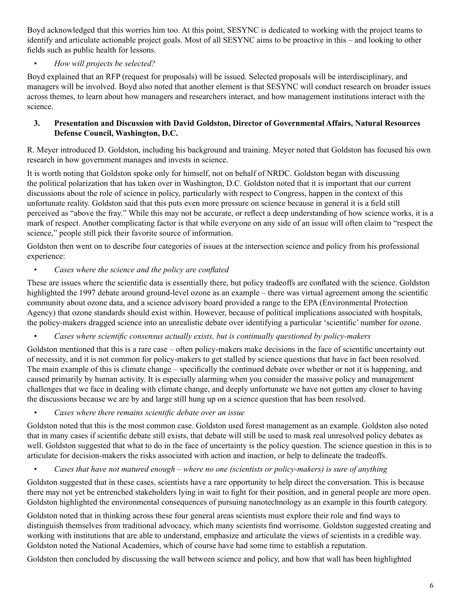<span id="page-5-0"></span>Boyd acknowledged that this worries him too. At this point, SESYNC is dedicated to working with the project teams to identify and articulate actionable project goals. Most of all SESYNC aims to be proactive in this – and looking to other fields such as public health for lessons.

## *• How will projects be selected?*

Boyd explained that an RFP (request for proposals) will be issued. Selected proposals will be interdisciplinary, and managers will be involved. Boyd also noted that another element is that SESYNC will conduct research on broader issues across themes, to learn about how managers and researchers interact, and how management institutions interact with the science.

#### **3. Presentation and Discussion with David Goldston, Director of Governmental Affairs, Natural Resources Defense Council, Washington, D.C.**

R. Meyer introduced D. Goldston, including his background and training. Meyer noted that Goldston has focused his own research in how government manages and invests in science.

It is worth noting that Goldston spoke only for himself, not on behalf of NRDC. Goldston began with discussing the political polarization that has taken over in Washington, D.C. Goldston noted that it is important that our current discussions about the role of science in policy, particularly with respect to Congress, happen in the context of this unfortunate reality. Goldston said that this puts even more pressure on science because in general it is a field still perceived as "above the fray." While this may not be accurate, or reflect a deep understanding of how science works, it is a mark of respect. Another complicating factor is that while everyone on any side of an issue will often claim to "respect the science," people still pick their favorite source of information.

Goldston then went on to describe four categories of issues at the intersection science and policy from his professional experience:

#### *• Cases where the science and the policy are conflated*

These are issues where the scientific data is essentially there, but policy tradeoffs are conflated with the science. Goldston highlighted the 1997 debate around ground-level ozone as an example – there was virtual agreement among the scientific community about ozone data, and a science advisory board provided a range to the EPA (Environmental Protection Agency) that ozone standards should exist within. However, because of political implications associated with hospitals, the policy-makers dragged science into an unrealistic debate over identifying a particular 'scientific' number for ozone.

*• Cases where scientific consensus actually exists, but is continually questioned by policy-makers*

Goldston mentioned that this is a rare case – often policy-makers make decisions in the face of scientific uncertainty out of necessity, and it is not common for policy-makers to get stalled by science questions that have in fact been resolved. The main example of this is climate change – specifically the continued debate over whether or not it is happening, and caused primarily by human activity. It is especially alarming when you consider the massive policy and management challenges that we face in dealing with climate change, and deeply unfortunate we have not gotten any closer to having the discussions because we are by and large still hung up on a science question that has been resolved.

*• Cases where there remains scientific debate over an issue*

Goldston noted that this is the most common case. Goldston used forest management as an example. Goldston also noted that in many cases if scientific debate still exists, that debate will still be used to mask real unresolved policy debates as well. Goldston suggested that what to do in the face of uncertainty is the policy question. The science question in this is to articulate for decision-makers the risks associated with action and inaction, or help to delineate the tradeoffs.

• Cases that have not matured enough – where no one (scientists or policy-makers) is sure of anything

Goldston suggested that in these cases, scientists have a rare opportunity to help direct the conversation. This is because there may not yet be entrenched stakeholders lying in wait to fight for their position, and in general people are more open. Goldston highlighted the environmental consequences of pursuing nanotechnology as an example in this fourth category.

Goldston noted that in thinking across these four general areas scientists must explore their role and find ways to distinguish themselves from traditional advocacy, which many scientists find worrisome. Goldston suggested creating and working with institutions that are able to understand, emphasize and articulate the views of scientists in a credible way. Goldston noted the National Academies, which of course have had some time to establish a reputation.

Goldston then concluded by discussing the wall between science and policy, and how that wall has been highlighted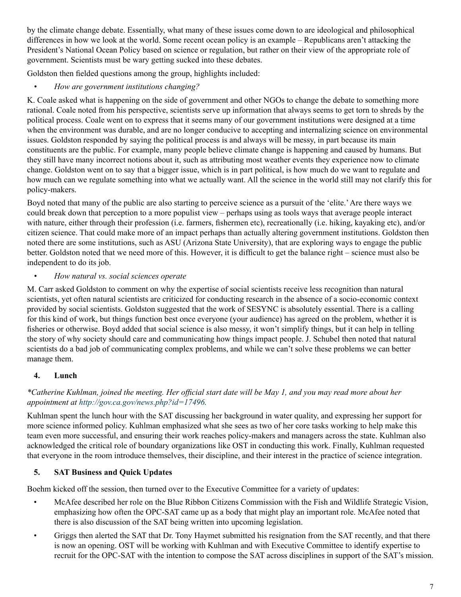<span id="page-6-0"></span>by the climate change debate. Essentially, what many of these issues come down to are ideological and philosophical differences in how we look at the world. Some recent ocean policy is an example – Republicans aren't attacking the President's National Ocean Policy based on science or regulation, but rather on their view of the appropriate role of government. Scientists must be wary getting sucked into these debates.

Goldston then fielded questions among the group, highlights included:

*• How are government institutions changing?*

K. Coale asked what is happening on the side of government and other NGOs to change the debate to something more rational. Coale noted from his perspective, scientists serve up information that always seems to get torn to shreds by the political process. Coale went on to express that it seems many of our government institutions were designed at a time when the environment was durable, and are no longer conducive to accepting and internalizing science on environmental issues. Goldston responded by saying the political process is and always will be messy, in part because its main constituents are the public. For example, many people believe climate change is happening and caused by humans. But they still have many incorrect notions about it, such as attributing most weather events they experience now to climate change. Goldston went on to say that a bigger issue, which is in part political, is how much do we want to regulate and how much can we regulate something into what we actually want. All the science in the world still may not clarify this for policy-makers.

Boyd noted that many of the public are also starting to perceive science as a pursuit of the 'elite.' Are there ways we could break down that perception to a more populist view – perhaps using as tools ways that average people interact with nature, either through their profession (i.e. farmers, fishermen etc), recreationally (i.e. hiking, kayaking etc), and/or citizen science. That could make more of an impact perhaps than actually altering government institutions. Goldston then noted there are some institutions, such as ASU (Arizona State University), that are exploring ways to engage the public better. Goldston noted that we need more of this. However, it is difficult to get the balance right – science must also be independent to do its job.

## *• How natural vs. social sciences operate*

M. Carr asked Goldston to comment on why the expertise of social scientists receive less recognition than natural scientists, yet often natural scientists are criticized for conducting research in the absence of a socio-economic context provided by social scientists. Goldston suggested that the work of SESYNC is absolutely essential. There is a calling for this kind of work, but things function best once everyone (your audience) has agreed on the problem, whether it is fisheries or otherwise. Boyd added that social science is also messy, it won't simplify things, but it can help in telling the story of why society should care and communicating how things impact people. J. Schubel then noted that natural scientists do a bad job of communicating complex problems, and while we can't solve these problems we can better manage them.

## **4. Lunch**

## \*Catherine Kuhlman, joined the meeting. Her official start date will be May 1, and you may read more about her *appointment at http://gov.ca.gov/news.php?id=17496.*

Kuhlman spent the lunch hour with the SAT discussing her background in water quality, and expressing her support for more science informed policy. Kuhlman emphasized what she sees as two of her core tasks working to help make this team even more successful, and ensuring their work reaches policy-makers and managers across the state. Kuhlman also acknowledged the critical role of boundary organizations like OST in conducting this work. Finally, Kuhlman requested that everyone in the room introduce themselves, their discipline, and their interest in the practice of science integration.

## **5. SAT Business and Quick Updates**

Boehm kicked off the session, then turned over to the Executive Committee for a variety of updates:

- McAfee described her role on the Blue Ribbon Citizens Commission with the Fish and Wildlife Strategic Vision, emphasizing how often the OPC-SAT came up as a body that might play an important role. McAfee noted that there is also discussion of the SAT being written into upcoming legislation.
- Griggs then alerted the SAT that Dr. Tony Haymet submitted his resignation from the SAT recently, and that there is now an opening. OST will be working with Kuhlman and with Executive Committee to identify expertise to recruit for the OPC-SAT with the intention to compose the SAT across disciplines in support of the SAT's mission.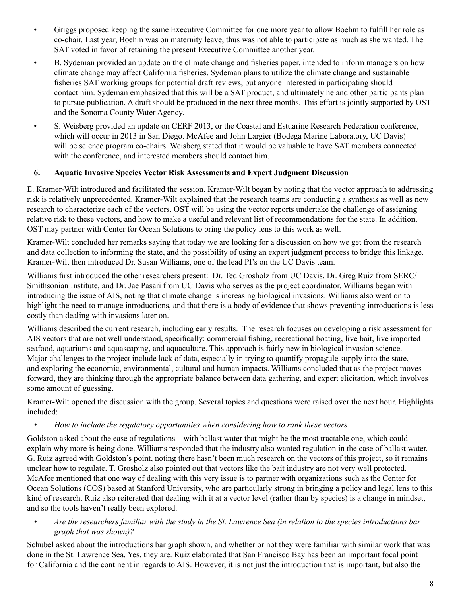- <span id="page-7-0"></span>• Griggs proposed keeping the same Executive Committee for one more year to allow Boehm to fulfill her role as co-chair. Last year, Boehm was on maternity leave, thus was not able to participate as much as she wanted. The SAT voted in favor of retaining the present Executive Committee another year.
- B. Sydeman provided an update on the climate change and fisheries paper, intended to inform managers on how climate change may affect California fisheries. Sydeman plans to utilize the climate change and sustainable fisheries SAT working groups for potential draft reviews, but anyone interested in participating should contact him. Sydeman emphasized that this will be a SAT product, and ultimately he and other participants plan to pursue publication. A draft should be produced in the next three months. This effort is jointly supported by OST and the Sonoma County Water Agency.
- S. Weisberg provided an update on CERF 2013, or the Coastal and Estuarine Research Federation conference, which will occur in 2013 in San Diego. McAfee and John Largier (Bodega Marine Laboratory, UC Davis) will be science program co-chairs. Weisberg stated that it would be valuable to have SAT members connected with the conference, and interested members should contact him.

### **6. Aquatic Invasive Species Vector Risk Assessments and Expert Judgment Discussion**

E. Kramer-Wilt introduced and facilitated the session. Kramer-Wilt began by noting that the vector approach to addressing risk is relatively unprecedented. Kramer-Wilt explained that the research teams are conducting a synthesis as well as new research to characterize each of the vectors. OST will be using the vector reports undertake the challenge of assigning relative risk to these vectors, and how to make a useful and relevant list of recommendations for the state. In addition, OST may partner with Center for Ocean Solutions to bring the policy lens to this work as well.

Kramer-Wilt concluded her remarks saying that today we are looking for a discussion on how we get from the research and data collection to informing the state, and the possibility of using an expert judgment process to bridge this linkage. Kramer-Wilt then introduced Dr. Susan Williams, one of the lead PI's on the UC Davis team.

Williams first introduced the other researchers present: Dr. Ted Grosholz from UC Davis, Dr. Greg Ruiz from SERC/ Smithsonian Institute, and Dr. Jae Pasari from UC Davis who serves as the project coordinator. Williams began with introducing the issue of AIS, noting that climate change is increasing biological invasions. Williams also went on to highlight the need to manage introductions, and that there is a body of evidence that shows preventing introductions is less costly than dealing with invasions later on.

Williams described the current research, including early results. The research focuses on developing a risk assessment for AIS vectors that are not well understood, specifically: commercial fishing, recreational boating, live bait, live imported seafood, aquariums and aquascaping, and aquaculture. This approach is fairly new in biological invasion science. Major challenges to the project include lack of data, especially in trying to quantify propagule supply into the state, and exploring the economic, environmental, cultural and human impacts. Williams concluded that as the project moves forward, they are thinking through the appropriate balance between data gathering, and expert elicitation, which involves some amount of guessing.

Kramer-Wilt opened the discussion with the group. Several topics and questions were raised over the next hour. Highlights included:

#### *• How to include the regulatory opportunities when considering how to rank these vectors.*

Goldston asked about the ease of regulations – with ballast water that might be the most tractable one, which could explain why more is being done. Williams responded that the industry also wanted regulation in the case of ballast water. G. Ruiz agreed with Goldston's point, noting there hasn't been much research on the vectors of this project, so it remains unclear how to regulate. T. Grosholz also pointed out that vectors like the bait industry are not very well protected. McAfee mentioned that one way of dealing with this very issue is to partner with organizations such as the Center for Ocean Solutions (COS) based at Stanford University, who are particularly strong in bringing a policy and legal lens to this kind of research. Ruiz also reiterated that dealing with it at a vector level (rather than by species) is a change in mindset, and so the tools haven't really been explored.

#### *• Are the researchers familiar with the study in the St. Lawrence Sea (in relation to the species introductions bar graph that was shown)?*

Schubel asked about the introductions bar graph shown, and whether or not they were familiar with similar work that was done in the St. Lawrence Sea. Yes, they are. Ruiz elaborated that San Francisco Bay has been an important focal point for California and the continent in regards to AIS. However, it is not just the introduction that is important, but also the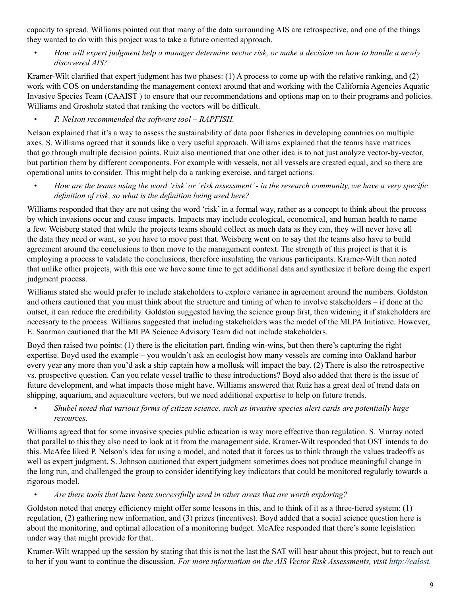capacity to spread. Williams pointed out that many of the data surrounding AIS are retrospective, and one of the things they wanted to do with this project was to take a future oriented approach.

• How will expert judgment help a manager determine vector risk, or make a decision on how to handle a newly *discovered AIS?* 

Kramer-Wilt clarified that expert judgment has two phases: (1) A process to come up with the relative ranking, and (2) work with COS on understanding the management context around that and working with the California Agencies Aquatic Invasive Species Team (CAAIST ) to ensure that our recommendations and options map on to their programs and policies. Williams and Grosholz stated that ranking the vectors will be difficult.

### *• P. Nelson recommended the software tool – RAPFISH.*

Nelson explained that it's a way to assess the sustainability of data poor fisheries in developing countries on multiple axes. S. Williams agreed that it sounds like a very useful approach. Williams explained that the teams have matrices that go through multiple decision points. Ruiz also mentioned that one other idea is to not just analyze vector-by-vector, but partition them by different components. For example with vessels, not all vessels are created equal, and so there are operational units to consider. This might help do a ranking exercise, and target actions.

How are the teams using the word 'risk' or 'risk assessment' - in the research community, we have a very specific  *definition of risk, so what is the definition being used here?*

Williams responded that they are not using the word 'risk' in a formal way, rather as a concept to think about the process by which invasions occur and cause impacts. Impacts may include ecological, economical, and human health to name a few. Weisberg stated that while the projects teams should collect as much data as they can, they will never have all the data they need or want, so you have to move past that. Weisberg went on to say that the teams also have to build agreement around the conclusions to then move to the management context. The strength of this project is that it is employing a process to validate the conclusions, therefore insulating the various participants. Kramer-Wilt then noted that unlike other projects, with this one we have some time to get additional data and synthesize it before doing the expert judgment process.

Williams stated she would prefer to include stakeholders to explore variance in agreement around the numbers. Goldston and others cautioned that you must think about the structure and timing of when to involve stakeholders – if done at the outset, it can reduce the credibility. Goldston suggested having the science group first, then widening it if stakeholders are necessary to the process. Williams suggested that including stakeholders was the model of the MLPA Initiative. However, E. Saarman cautioned that the MLPA Science Advisory Team did not include stakeholders.

Boyd then raised two points: (1) there is the elicitation part, finding win-wins, but then there's capturing the right expertise. Boyd used the example – you wouldn't ask an ecologist how many vessels are coming into Oakland harbor every year any more than you'd ask a ship captain how a mollusk will impact the bay. (2) There is also the retrospective vs. prospective question. Can you relate vessel traffic to these introductions? Boyd also added that there is the issue of future development, and what impacts those might have. Williams answered that Ruiz has a great deal of trend data on shipping, aquarium, and aquaculture vectors, but we need additional expertise to help on future trends.

*• Shubel noted that various forms of citizen science, such as invasive species alert cards are potentially huge resources.* 

Williams agreed that for some invasive species public education is way more effective than regulation. S. Murray noted that parallel to this they also need to look at it from the management side. Kramer-Wilt responded that OST intends to do this. McAfee liked P. Nelson's idea for using a model, and noted that it forces us to think through the values tradeoffs as well as expert judgment. S. Johnson cautioned that expert judgment sometimes does not produce meaningful change in the long run, and challenged the group to consider identifying key indicators that could be monitored regularly towards a rigorous model.

*• Are there tools that have been successfully used in other areas that are worth exploring?*

Goldston noted that energy efficiency might offer some lessons in this, and to think of it as a three-tiered system: (1) regulation, (2) gathering new information, and (3) prizes (incentives). Boyd added that a social science question here is about the monitoring, and optimal allocation of a monitoring budget. McAfee responded that there's some legislation under way that might provide for that.

Kramer-Wilt wrapped up the session by stating that this is not the last the SAT will hear about this project, but to reach out to her if you want to continue the discussion. *For more information on the AIS Vector Risk Assessments, visit http://calost.*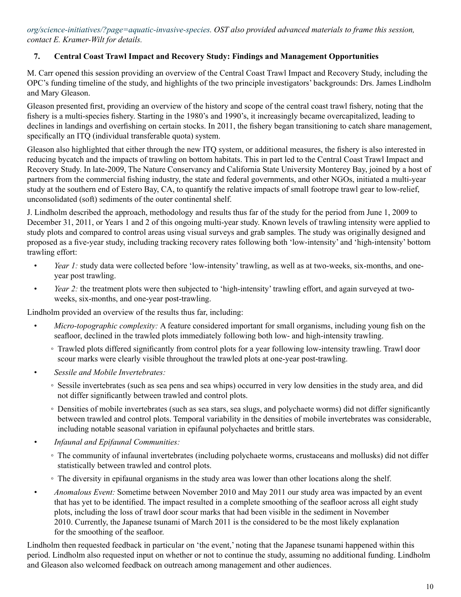<span id="page-9-0"></span>*org/science-initiatives/?page=aquatic-invasive-species. OST also provided advanced materials to frame this session, contact E. Kramer-Wilt for details.*

## **7. Central Coast Trawl Impact and Recovery Study: Findings and Management Opportunities**

M. Carr opened this session providing an overview of the Central Coast Trawl Impact and Recovery Study, including the OPC's funding timeline of the study, and highlights of the two principle investigators' backgrounds: Drs. James Lindholm and Mary Gleason.

Gleason presented first, providing an overview of the history and scope of the central coast trawl fishery, noting that the fishery is a multi-species fishery. Starting in the 1980's and 1990's, it increasingly became overcapitalized, leading to declines in landings and overfishing on certain stocks. In 2011, the fishery began transitioning to catch share management, specifically an ITQ (individual transferable quota) system.

Gleason also highlighted that either through the new ITQ system, or additional measures, the fishery is also interested in reducing bycatch and the impacts of trawling on bottom habitats. This in part led to the Central Coast Trawl Impact and Recovery Study. In late-2009, The Nature Conservancy and California State University Monterey Bay, joined by a host of partners from the commercial fishing industry, the state and federal governments, and other NGOs, initiated a multi-year study at the southern end of Estero Bay, CA, to quantify the relative impacts of small footrope trawl gear to low-relief, unconsolidated (soft) sediments of the outer continental shelf.

J. Lindholm described the approach, methodology and results thus far of the study for the period from June 1, 2009 to December 31, 2011, or Years 1 and 2 of this ongoing multi-year study. Known levels of trawling intensity were applied to study plots and compared to control areas using visual surveys and grab samples. The study was originally designed and proposed as a five-year study, including tracking recovery rates following both 'low-intensity' and 'high-intensity' bottom trawling effort:

- **•** *Year 1:* study data were collected before 'low-intensity' trawling, as well as at two-weeks, six-months, and oneyear post trawling.
- **•** *Year 2:* the treatment plots were then subjected to 'high-intensity' trawling effort, and again surveyed at twoweeks, six-months, and one-year post-trawling.

Lindholm provided an overview of the results thus far, including:

- *• Micro-topographic complexity:* A feature considered important for small organisms, including young fish on the seafloor, declined in the trawled plots immediately following both low- and high-intensity trawling.
	- Trawled plots differed significantly from control plots for a year following low-intensity trawling. Trawl door scour marks were clearly visible throughout the trawled plots at one-year post-trawling.
- *• Sessile and Mobile Invertebrates:* 
	- Sessile invertebrates (such as sea pens and sea whips) occurred in very low densities in the study area, and did not differ significantly between trawled and control plots.
	- Densities of mobile invertebrates (such as sea stars, sea slugs, and polychaete worms) did not differ significantly between trawled and control plots. Temporal variability in the densities of mobile invertebrates was considerable, including notable seasonal variation in epifaunal polychaetes and brittle stars.
- *• Infaunal and Epifaunal Communities:* 
	- The community of infaunal invertebrates (including polychaete worms, crustaceans and mollusks) did not differ statistically between trawled and control plots.
	- The diversity in epifaunal organisms in the study area was lower than other locations along the shelf.
- *• Anomalous Event:* Sometime between November 2010 and May 2011 our study area was impacted by an event that has yet to be identified. The impact resulted in a complete smoothing of the seafloor across all eight study plots, including the loss of trawl door scour marks that had been visible in the sediment in November 2010. Currently, the Japanese tsunami of March 2011 is the considered to be the most likely explanation for the smoothing of the seafloor.

Lindholm then requested feedback in particular on 'the event,' noting that the Japanese tsunami happened within this period. Lindholm also requested input on whether or not to continue the study, assuming no additional funding. Lindholm and Gleason also welcomed feedback on outreach among management and other audiences.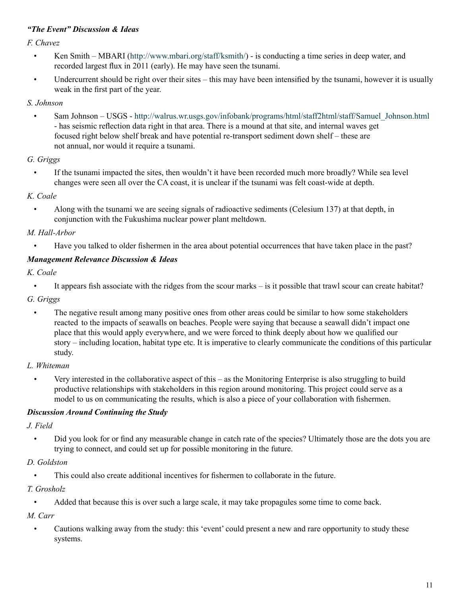## *"The Event" Discussion & Ideas*

*F. Chavez*

- Ken Smith MBARI (http://www.mbari.org/staff/ksmith/) is conducting a time series in deep water, and recorded largest flux in 2011 (early). He may have seen the tsunami.
- Undercurrent should be right over their sites this may have been intensified by the tsunami, however it is usually weak in the first part of the year.

## *S. Johnson*

• Sam Johnson – USGS - http://walrus.wr.usgs.gov/infobank/programs/html/staff2html/staff/Samuel\_Johnson.html - has seismic reflection data right in that area. There is a mound at that site, and internal waves get focused right below shelf break and have potential re-transport sediment down shelf – these are not annual, nor would it require a tsunami.

## *G. Griggs*

• If the tsunami impacted the sites, then wouldn't it have been recorded much more broadly? While sea level changes were seen all over the CA coast, it is unclear if the tsunami was felt coast-wide at depth.

## *K. Coale*

• Along with the tsunami we are seeing signals of radioactive sediments (Celesium 137) at that depth, in conjunction with the Fukushima nuclear power plant meltdown.

## *M. Hall-Arbor*

• Have you talked to older fishermen in the area about potential occurrences that have taken place in the past?

## *Management Relevance Discussion & Ideas*

*K. Coale*

• It appears fish associate with the ridges from the scour marks – is it possible that trawl scour can create habitat?

*G. Griggs*

• The negative result among many positive ones from other areas could be similar to how some stakeholders reacted to the impacts of seawalls on beaches. People were saying that because a seawall didn't impact one place that this would apply everywhere, and we were forced to think deeply about how we qualified our story – including location, habitat type etc. It is imperative to clearly communicate the conditions of this particular study.

## *L. Whiteman*

• Very interested in the collaborative aspect of this – as the Monitoring Enterprise is also struggling to build productive relationships with stakeholders in this region around monitoring. This project could serve as a model to us on communicating the results, which is also a piece of your collaboration with fishermen.

# *Discussion Around Continuing the Study*

*J. Field*

• Did you look for or find any measurable change in catch rate of the species? Ultimately those are the dots you are trying to connect, and could set up for possible monitoring in the future.

## *D. Goldston*

• This could also create additional incentives for fishermen to collaborate in the future.

## *T. Grosholz*

• Added that because this is over such a large scale, it may take propagules some time to come back.

*M. Carr*

• Cautions walking away from the study: this 'event' could present a new and rare opportunity to study these systems.